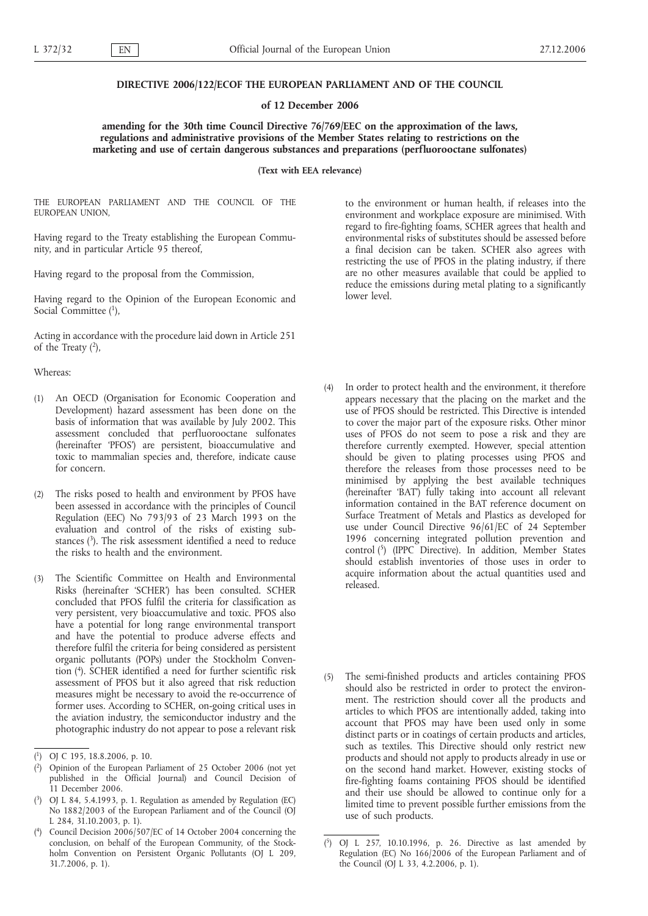## **DIRECTIVE 2006/122/ECOF THE EUROPEAN PARLIAMENT AND OF THE COUNCIL**

## **of 12 December 2006**

# **amending for the 30th time Council Directive 76/769/EEC on the approximation of the laws, regulations and administrative provisions of the Member States relating to restrictions on the marketing and use of certain dangerous substances and preparations (perfluorooctane sulfonates)**

**(Text with EEA relevance)**

THE EUROPEAN PARLIAMENT AND THE COUNCIL OF THE EUROPEAN UNION,

Having regard to the Treaty establishing the European Community, and in particular Article 95 thereof,

Having regard to the proposal from the Commission,

Having regard to the Opinion of the European Economic and Social Committee (1),

Acting in accordance with the procedure laid down in Article 251 of the Treaty  $(2)$ ,

Whereas:

- (1) An OECD (Organisation for Economic Cooperation and Development) hazard assessment has been done on the basis of information that was available by July 2002. This assessment concluded that perfluorooctane sulfonates (hereinafter 'PFOS') are persistent, bioaccumulative and toxic to mammalian species and, therefore, indicate cause for concern.
- (2) The risks posed to health and environment by PFOS have been assessed in accordance with the principles of Council Regulation (EEC) No 793/93 of 23 March 1993 on the evaluation and control of the risks of existing substances  $(3)$ . The risk assessment identified a need to reduce the risks to health and the environment.
- (3) The Scientific Committee on Health and Environmental Risks (hereinafter 'SCHER') has been consulted. SCHER concluded that PFOS fulfil the criteria for classification as very persistent, very bioaccumulative and toxic. PFOS also have a potential for long range environmental transport and have the potential to produce adverse effects and therefore fulfil the criteria for being considered as persistent organic pollutants (POPs) under the Stockholm Convention (4). SCHER identified a need for further scientific risk assessment of PFOS but it also agreed that risk reduction measures might be necessary to avoid the re-occurrence of former uses. According to SCHER, on-going critical uses in the aviation industry, the semiconductor industry and the photographic industry do not appear to pose a relevant risk

to the environment or human health, if releases into the environment and workplace exposure are minimised. With regard to fire-fighting foams, SCHER agrees that health and environmental risks of substitutes should be assessed before a final decision can be taken. SCHER also agrees with restricting the use of PFOS in the plating industry, if there are no other measures available that could be applied to reduce the emissions during metal plating to a significantly lower level.

- (4) In order to protect health and the environment, it therefore appears necessary that the placing on the market and the use of PFOS should be restricted. This Directive is intended to cover the major part of the exposure risks. Other minor uses of PFOS do not seem to pose a risk and they are therefore currently exempted. However, special attention should be given to plating processes using PFOS and therefore the releases from those processes need to be minimised by applying the best available techniques (hereinafter 'BAT') fully taking into account all relevant information contained in the BAT reference document on Surface Treatment of Metals and Plastics as developed for use under Council Directive 96/61/EC of 24 September 1996 concerning integrated pollution prevention and control (5) (IPPC Directive). In addition, Member States should establish inventories of those uses in order to acquire information about the actual quantities used and released.
- (5) The semi-finished products and articles containing PFOS should also be restricted in order to protect the environment. The restriction should cover all the products and articles to which PFOS are intentionally added, taking into account that PFOS may have been used only in some distinct parts or in coatings of certain products and articles, such as textiles. This Directive should only restrict new products and should not apply to products already in use or on the second hand market. However, existing stocks of fire-fighting foams containing PFOS should be identified and their use should be allowed to continue only for a limited time to prevent possible further emissions from the use of such products.

<sup>(</sup> 1) OJ C 195, 18.8.2006, p. 10.

<sup>(</sup> 2) Opinion of the European Parliament of 25 October 2006 (not yet published in the Official Journal) and Council Decision of 11 December 2006.

<sup>(</sup> 3) OJ L 84, 5.4.1993, p. 1. Regulation as amended by Regulation (EC) No 1882/2003 of the European Parliament and of the Council (OJ L 284, 31.10.2003, p. 1).

<sup>(</sup> Council Decision 2006/507/EC of 14 October 2004 concerning the conclusion, on behalf of the European Community, of the Stockholm Convention on Persistent Organic Pollutants (OJ L 209, 31.7.2006, p. 1).

 $^{(5)}$ 5) OJ L 257, 10.10.1996, p. 26. Directive as last amended by Regulation (EC) No 166/2006 of the European Parliament and of the Council (OJ L 33, 4.2.2006, p. 1).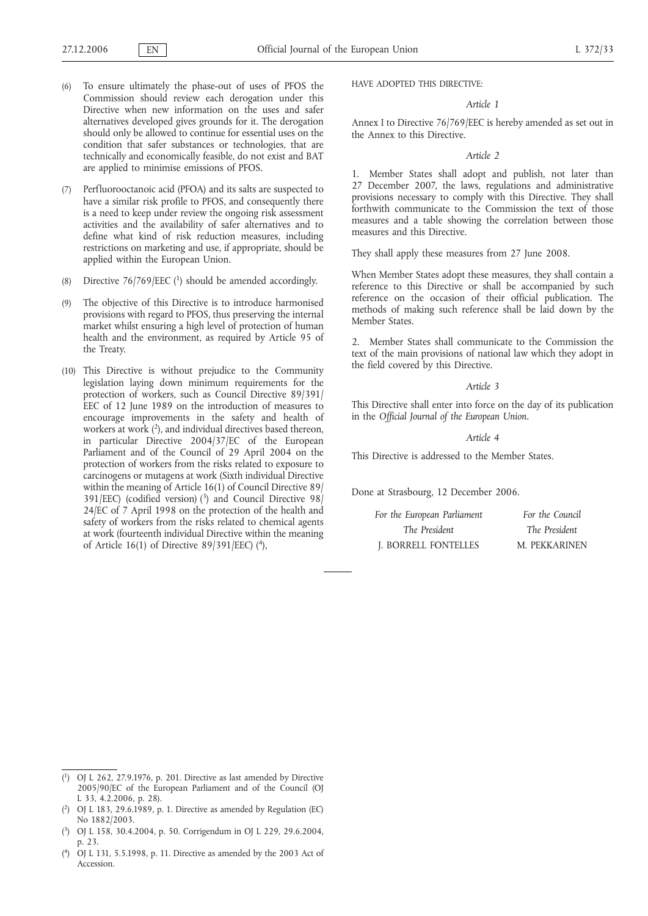- (6) To ensure ultimately the phase-out of uses of PFOS the Commission should review each derogation under this Directive when new information on the uses and safer alternatives developed gives grounds for it. The derogation should only be allowed to continue for essential uses on the condition that safer substances or technologies, that are technically and economically feasible, do not exist and BAT are applied to minimise emissions of PFOS.
- (7) Perfluorooctanoic acid (PFOA) and its salts are suspected to have a similar risk profile to PFOS, and consequently there is a need to keep under review the ongoing risk assessment activities and the availability of safer alternatives and to define what kind of risk reduction measures, including restrictions on marketing and use, if appropriate, should be applied within the European Union.
- (8) Directive  $76/769/EEC$  (<sup>1</sup>) should be amended accordingly.
- (9) The objective of this Directive is to introduce harmonised provisions with regard to PFOS, thus preserving the internal market whilst ensuring a high level of protection of human health and the environment, as required by Article 95 of the Treaty.
- (10) This Directive is without prejudice to the Community legislation laying down minimum requirements for the protection of workers, such as Council Directive 89/391/ EEC of 12 June 1989 on the introduction of measures to encourage improvements in the safety and health of workers at work (2), and individual directives based thereon, in particular Directive 2004/37/EC of the European Parliament and of the Council of 29 April 2004 on the protection of workers from the risks related to exposure to carcinogens or mutagens at work (Sixth individual Directive within the meaning of Article 16(1) of Council Directive 89/ 391/EEC) (codified version) (3) and Council Directive 98/ 24/EC of 7 April 1998 on the protection of the health and safety of workers from the risks related to chemical agents at work (fourteenth individual Directive within the meaning of Article 16(1) of Directive 89/391/EEC) ( $4$ ),

HAVE ADOPTED THIS DIRECTIVE:

## *Article 1*

Annex I to Directive 76/769/EEC is hereby amended as set out in the Annex to this Directive.

*Article 2*

1. Member States shall adopt and publish, not later than 27 December 2007, the laws, regulations and administrative provisions necessary to comply with this Directive. They shall forthwith communicate to the Commission the text of those measures and a table showing the correlation between those measures and this Directive.

They shall apply these measures from 27 June 2008.

When Member States adopt these measures, they shall contain a reference to this Directive or shall be accompanied by such reference on the occasion of their official publication. The methods of making such reference shall be laid down by the Member States.

2. Member States shall communicate to the Commission the text of the main provisions of national law which they adopt in the field covered by this Directive.

#### *Article 3*

This Directive shall enter into force on the day of its publication in the *Official Journal of the European Union.*

### *Article 4*

This Directive is addressed to the Member States.

Done at Strasbourg, 12 December 2006.

| For the European Parliament | For the Council |
|-----------------------------|-----------------|
| The President               | The President   |
| J. BORRELL FONTELLES        | M. PEKKARINEN   |

<sup>(</sup> 1) OJ L 262, 27.9.1976, p. 201. Directive as last amended by Directive 2005/90/EC of the European Parliament and of the Council (OJ L 33, 4.2.2006, p. 28).

<sup>(</sup> 2) OJ L 183, 29.6.1989, p. 1. Directive as amended by Regulation (EC) No 1882/2003.

<sup>(</sup> 3) OJ L 158, 30.4.2004, p. 50. Corrigendum in OJ L 229, 29.6.2004, p. 23.

<sup>(</sup> 4) OJ L 131, 5.5.1998, p. 11. Directive as amended by the 2003 Act of Accession.